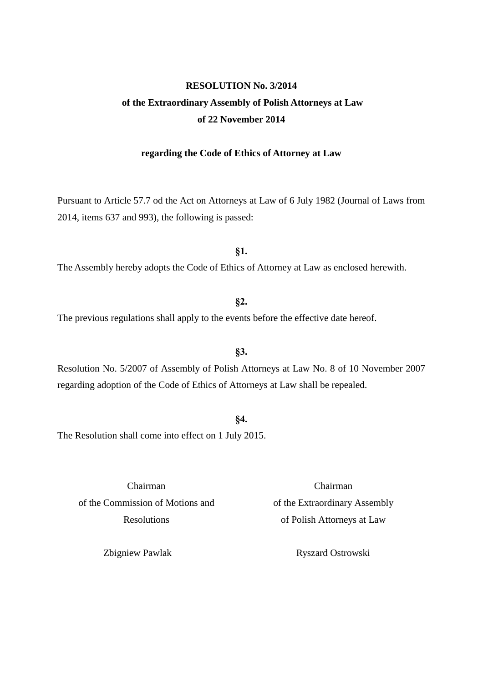## **RESOLUTION No. 3/2014 of the Extraordinary Assembly of Polish Attorneys at Law of 22 November 2014**

## **regarding the Code of Ethics of Attorney at Law**

Pursuant to Article 57.7 od the Act on Attorneys at Law of 6 July 1982 (Journal of Laws from 2014, items 637 and 993), the following is passed:

**§1.** The Assembly hereby adopts the Code of Ethics of Attorney at Law as enclosed herewith.

**§2.**

The previous regulations shall apply to the events before the effective date hereof.

Resolution No. 5/2007 of Assembly of Polish Attorneys at Law No. 8 of 10 November 2007 regarding adoption of the Code of Ethics of Attorneys at Law shall be repealed.

**§3.**

The Resolution shall come into effect on 1 July 2015.

Chairman of the Commission of Motions and Resolutions

Zbigniew Pawlak

Chairman of the Extraordinary Assembly of Polish Attorneys at Law

Ryszard Ostrowski

**§4.**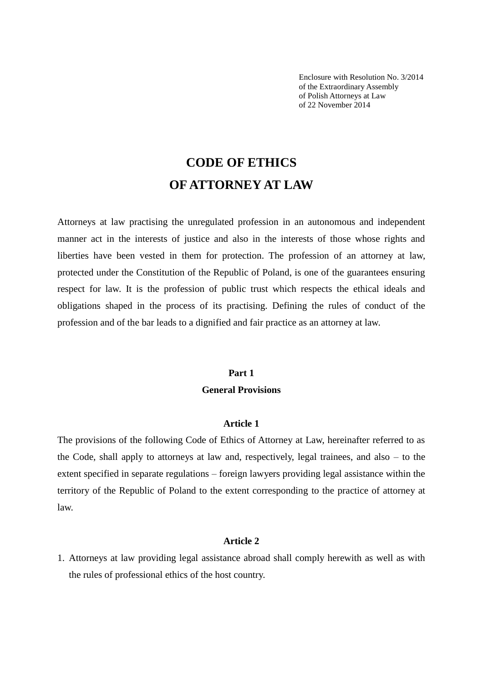Enclosure with Resolution No. 3/2014 of the Extraordinary Assembly of Polish Attorneys at Law of 22 November 2014

# **CODE OF ETHICS OF ATTORNEY AT LAW**

Attorneys at law practising the unregulated profession in an autonomous and independent manner act in the interests of justice and also in the interests of those whose rights and liberties have been vested in them for protection. The profession of an attorney at law, protected under the Constitution of the Republic of Poland, is one of the guarantees ensuring respect for law. It is the profession of public trust which respects the ethical ideals and obligations shaped in the process of its practising. Defining the rules of conduct of the profession and of the bar leads to a dignified and fair practice as an attorney at law.

## **Part 1 General Provisions**

#### **Article 1**

The provisions of the following Code of Ethics of Attorney at Law, hereinafter referred to as the Code, shall apply to attorneys at law and, respectively, legal trainees, and also – to the extent specified in separate regulations – foreign lawyers providing legal assistance within the territory of the Republic of Poland to the extent corresponding to the practice of attorney at law.

## **Article 2**

1. Attorneys at law providing legal assistance abroad shall comply herewith as well as with the rules of professional ethics of the host country.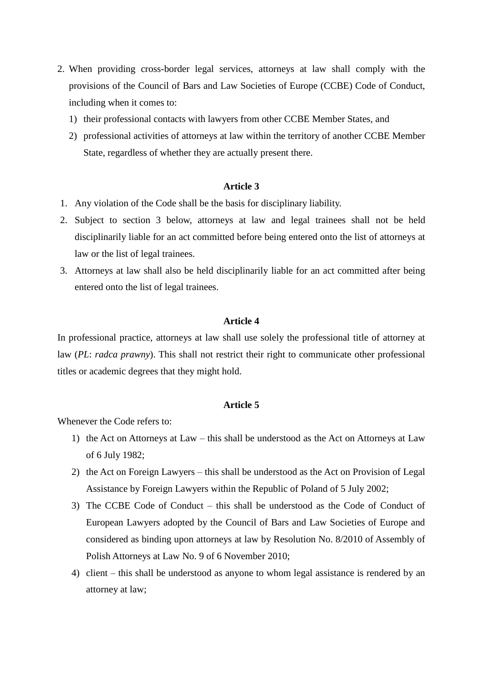- 2. When providing cross-border legal services, attorneys at law shall comply with the provisions of the Council of Bars and Law Societies of Europe (CCBE) Code of Conduct, including when it comes to:
	- 1) their professional contacts with lawyers from other CCBE Member States, and
	- 2) professional activities of attorneys at law within the territory of another CCBE Member State, regardless of whether they are actually present there.

- 1. Any violation of the Code shall be the basis for disciplinary liability.
- 2. Subject to section 3 below, attorneys at law and legal trainees shall not be held disciplinarily liable for an act committed before being entered onto the list of attorneys at law or the list of legal trainees.
- 3. Attorneys at law shall also be held disciplinarily liable for an act committed after being entered onto the list of legal trainees.

#### **Article 4**

In professional practice, attorneys at law shall use solely the professional title of attorney at law (*PL*: *radca prawny*). This shall not restrict their right to communicate other professional titles or academic degrees that they might hold.

## **Article 5**

Whenever the Code refers to:

- 1) the Act on Attorneys at Law this shall be understood as the Act on Attorneys at Law of 6 July 1982;
- 2) the Act on Foreign Lawyers this shall be understood as the Act on Provision of Legal Assistance by Foreign Lawyers within the Republic of Poland of 5 July 2002;
- 3) The CCBE Code of Conduct this shall be understood as the Code of Conduct of European Lawyers adopted by the Council of Bars and Law Societies of Europe and considered as binding upon attorneys at law by Resolution No. 8/2010 of Assembly of Polish Attorneys at Law No. 9 of 6 November 2010;
- 4) client this shall be understood as anyone to whom legal assistance is rendered by an attorney at law;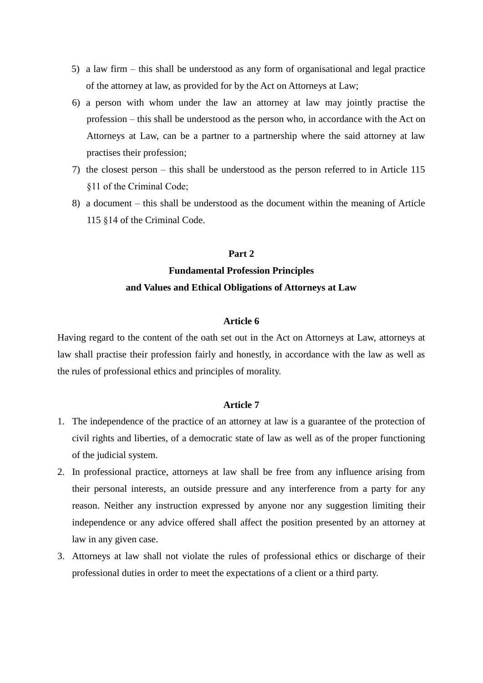- 5) a law firm this shall be understood as any form of organisational and legal practice of the attorney at law, as provided for by the Act on Attorneys at Law;
- 6) a person with whom under the law an attorney at law may jointly practise the profession – this shall be understood as the person who, in accordance with the Act on Attorneys at Law, can be a partner to a partnership where the said attorney at law practises their profession;
- 7) the closest person this shall be understood as the person referred to in Article 115 §11 of the Criminal Code;
- 8) a document this shall be understood as the document within the meaning of Article 115 §14 of the Criminal Code.

#### **Part 2**

## **Fundamental Profession Principles and Values and Ethical Obligations of Attorneys at Law**

## **Article 6**

Having regard to the content of the oath set out in the Act on Attorneys at Law, attorneys at law shall practise their profession fairly and honestly, in accordance with the law as well as the rules of professional ethics and principles of morality.

- 1. The independence of the practice of an attorney at law is a guarantee of the protection of civil rights and liberties, of a democratic state of law as well as of the proper functioning of the judicial system.
- 2. In professional practice, attorneys at law shall be free from any influence arising from their personal interests, an outside pressure and any interference from a party for any reason. Neither any instruction expressed by anyone nor any suggestion limiting their independence or any advice offered shall affect the position presented by an attorney at law in any given case.
- 3. Attorneys at law shall not violate the rules of professional ethics or discharge of their professional duties in order to meet the expectations of a client or a third party.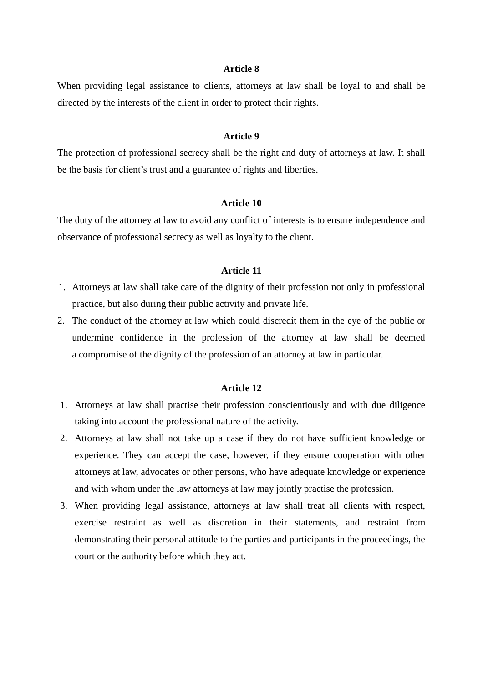When providing legal assistance to clients, attorneys at law shall be loyal to and shall be directed by the interests of the client in order to protect their rights.

#### **Article 9**

The protection of professional secrecy shall be the right and duty of attorneys at law. It shall be the basis for client's trust and a guarantee of rights and liberties.

## **Article 10**

The duty of the attorney at law to avoid any conflict of interests is to ensure independence and observance of professional secrecy as well as loyalty to the client.

## **Article 11**

- 1. Attorneys at law shall take care of the dignity of their profession not only in professional practice, but also during their public activity and private life.
- 2. The conduct of the attorney at law which could discredit them in the eye of the public or undermine confidence in the profession of the attorney at law shall be deemed a compromise of the dignity of the profession of an attorney at law in particular.

- 1. Attorneys at law shall practise their profession conscientiously and with due diligence taking into account the professional nature of the activity.
- 2. Attorneys at law shall not take up a case if they do not have sufficient knowledge or experience. They can accept the case, however, if they ensure cooperation with other attorneys at law, advocates or other persons, who have adequate knowledge or experience and with whom under the law attorneys at law may jointly practise the profession.
- 3. When providing legal assistance, attorneys at law shall treat all clients with respect, exercise restraint as well as discretion in their statements, and restraint from demonstrating their personal attitude to the parties and participants in the proceedings, the court or the authority before which they act.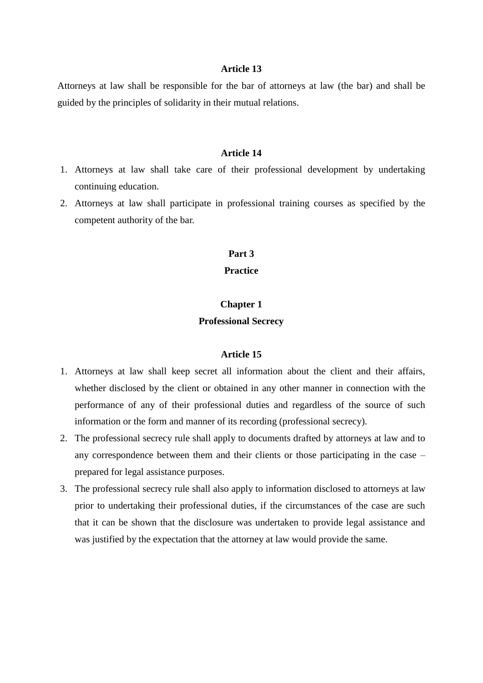Attorneys at law shall be responsible for the bar of attorneys at law (the bar) and shall be guided by the principles of solidarity in their mutual relations.

#### **Article 14**

- 1. Attorneys at law shall take care of their professional development by undertaking continuing education.
- 2. Attorneys at law shall participate in professional training courses as specified by the competent authority of the bar.

## **Part 3**

## **Practice**

## **Chapter 1 Professional Secrecy**

- 1. Attorneys at law shall keep secret all information about the client and their affairs, whether disclosed by the client or obtained in any other manner in connection with the performance of any of their professional duties and regardless of the source of such information or the form and manner of its recording (professional secrecy).
- 2. The professional secrecy rule shall apply to documents drafted by attorneys at law and to any correspondence between them and their clients or those participating in the case – prepared for legal assistance purposes.
- 3. The professional secrecy rule shall also apply to information disclosed to attorneys at law prior to undertaking their professional duties, if the circumstances of the case are such that it can be shown that the disclosure was undertaken to provide legal assistance and was justified by the expectation that the attorney at law would provide the same.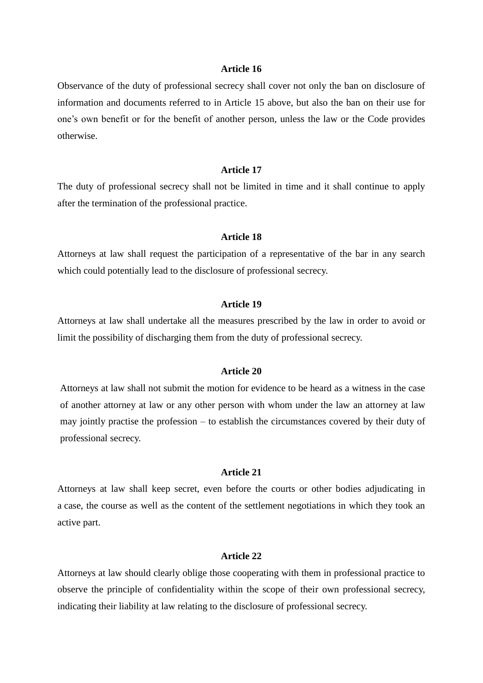Observance of the duty of professional secrecy shall cover not only the ban on disclosure of information and documents referred to in Article 15 above, but also the ban on their use for one's own benefit or for the benefit of another person, unless the law or the Code provides otherwise.

## **Article 17**

The duty of professional secrecy shall not be limited in time and it shall continue to apply after the termination of the professional practice.

#### **Article 18**

Attorneys at law shall request the participation of a representative of the bar in any search which could potentially lead to the disclosure of professional secrecy.

## **Article 19**

Attorneys at law shall undertake all the measures prescribed by the law in order to avoid or limit the possibility of discharging them from the duty of professional secrecy.

#### **Article 20**

Attorneys at law shall not submit the motion for evidence to be heard as a witness in the case of another attorney at law or any other person with whom under the law an attorney at law may jointly practise the profession – to establish the circumstances covered by their duty of professional secrecy.

#### **Article 21**

Attorneys at law shall keep secret, even before the courts or other bodies adjudicating in a case, the course as well as the content of the settlement negotiations in which they took an active part.

## **Article 22**

Attorneys at law should clearly oblige those cooperating with them in professional practice to observe the principle of confidentiality within the scope of their own professional secrecy, indicating their liability at law relating to the disclosure of professional secrecy.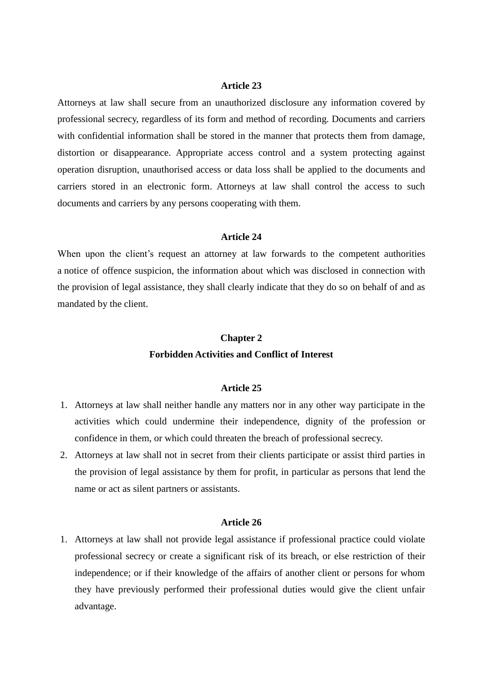Attorneys at law shall secure from an unauthorized disclosure any information covered by professional secrecy, regardless of its form and method of recording. Documents and carriers with confidential information shall be stored in the manner that protects them from damage, distortion or disappearance. Appropriate access control and a system protecting against operation disruption, unauthorised access or data loss shall be applied to the documents and carriers stored in an electronic form. Attorneys at law shall control the access to such documents and carriers by any persons cooperating with them.

#### **Article 24**

When upon the client's request an attorney at law forwards to the competent authorities a notice of offence suspicion, the information about which was disclosed in connection with the provision of legal assistance, they shall clearly indicate that they do so on behalf of and as mandated by the client.

## **Chapter 2 Forbidden Activities and Conflict of Interest**

## **Article 25**

- 1. Attorneys at law shall neither handle any matters nor in any other way participate in the activities which could undermine their independence, dignity of the profession or confidence in them, or which could threaten the breach of professional secrecy.
- 2. Attorneys at law shall not in secret from their clients participate or assist third parties in the provision of legal assistance by them for profit, in particular as persons that lend the name or act as silent partners or assistants.

#### **Article 26**

1. Attorneys at law shall not provide legal assistance if professional practice could violate professional secrecy or create a significant risk of its breach, or else restriction of their independence; or if their knowledge of the affairs of another client or persons for whom they have previously performed their professional duties would give the client unfair advantage.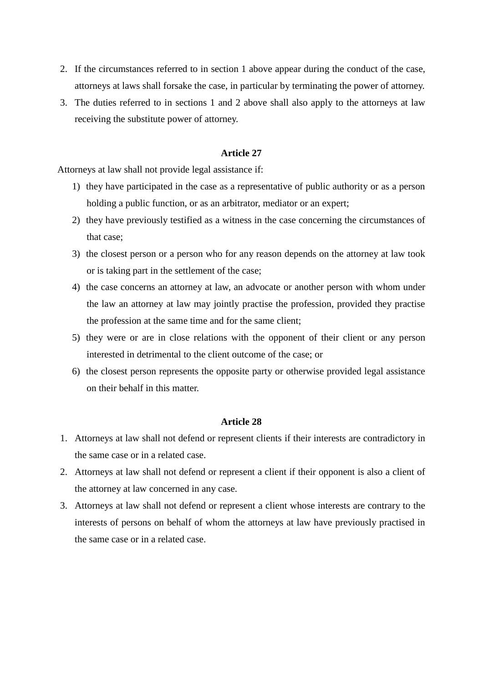- 2. If the circumstances referred to in section 1 above appear during the conduct of the case, attorneys at laws shall forsake the case, in particular by terminating the power of attorney.
- 3. The duties referred to in sections 1 and 2 above shall also apply to the attorneys at law receiving the substitute power of attorney.

Attorneys at law shall not provide legal assistance if:

- 1) they have participated in the case as a representative of public authority or as a person holding a public function, or as an arbitrator, mediator or an expert;
- 2) they have previously testified as a witness in the case concerning the circumstances of that case;
- 3) the closest person or a person who for any reason depends on the attorney at law took or is taking part in the settlement of the case;
- 4) the case concerns an attorney at law, an advocate or another person with whom under the law an attorney at law may jointly practise the profession, provided they practise the profession at the same time and for the same client;
- 5) they were or are in close relations with the opponent of their client or any person interested in detrimental to the client outcome of the case; or
- 6) the closest person represents the opposite party or otherwise provided legal assistance on their behalf in this matter.

- 1. Attorneys at law shall not defend or represent clients if their interests are contradictory in the same case or in a related case.
- 2. Attorneys at law shall not defend or represent a client if their opponent is also a client of the attorney at law concerned in any case.
- 3. Attorneys at law shall not defend or represent a client whose interests are contrary to the interests of persons on behalf of whom the attorneys at law have previously practised in the same case or in a related case.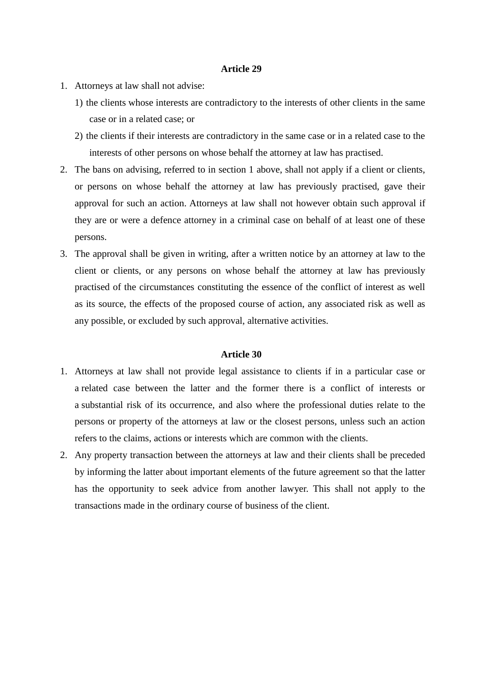- 1. Attorneys at law shall not advise:
	- 1) the clients whose interests are contradictory to the interests of other clients in the same case or in a related case; or
	- 2) the clients if their interests are contradictory in the same case or in a related case to the interests of other persons on whose behalf the attorney at law has practised.
- 2. The bans on advising, referred to in section 1 above, shall not apply if a client or clients, or persons on whose behalf the attorney at law has previously practised, gave their approval for such an action. Attorneys at law shall not however obtain such approval if they are or were a defence attorney in a criminal case on behalf of at least one of these persons.
- 3. The approval shall be given in writing, after a written notice by an attorney at law to the client or clients, or any persons on whose behalf the attorney at law has previously practised of the circumstances constituting the essence of the conflict of interest as well as its source, the effects of the proposed course of action, any associated risk as well as any possible, or excluded by such approval, alternative activities.

- 1. Attorneys at law shall not provide legal assistance to clients if in a particular case or a related case between the latter and the former there is a conflict of interests or a substantial risk of its occurrence, and also where the professional duties relate to the persons or property of the attorneys at law or the closest persons, unless such an action refers to the claims, actions or interests which are common with the clients.
- 2. Any property transaction between the attorneys at law and their clients shall be preceded by informing the latter about important elements of the future agreement so that the latter has the opportunity to seek advice from another lawyer. This shall not apply to the transactions made in the ordinary course of business of the client.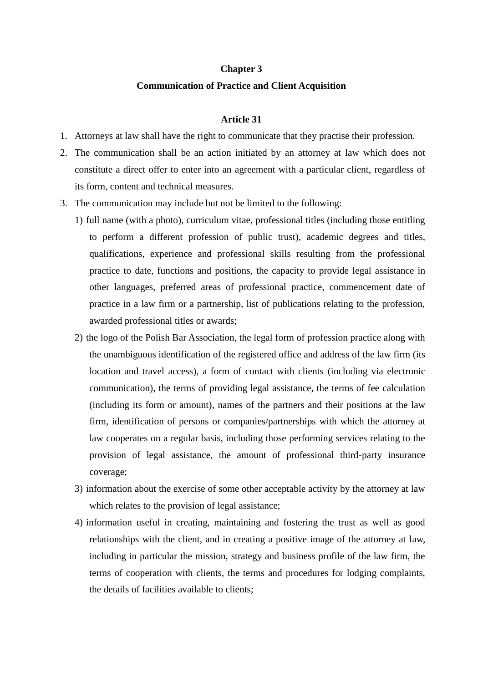#### **Chapter 3**

## **Communication of Practice and Client Acquisition**

- 1. Attorneys at law shall have the right to communicate that they practise their profession.
- 2. The communication shall be an action initiated by an attorney at law which does not constitute a direct offer to enter into an agreement with a particular client, regardless of its form, content and technical measures.
- 3. The communication may include but not be limited to the following:
	- 1) full name (with a photo), curriculum vitae, professional titles (including those entitling to perform a different profession of public trust), academic degrees and titles, qualifications, experience and professional skills resulting from the professional practice to date, functions and positions, the capacity to provide legal assistance in other languages, preferred areas of professional practice, commencement date of practice in a law firm or a partnership, list of publications relating to the profession, awarded professional titles or awards;
	- 2) the logo of the Polish Bar Association, the legal form of profession practice along with the unambiguous identification of the registered office and address of the law firm (its location and travel access), a form of contact with clients (including via electronic communication), the terms of providing legal assistance, the terms of fee calculation (including its form or amount), names of the partners and their positions at the law firm, identification of persons or companies/partnerships with which the attorney at law cooperates on a regular basis, including those performing services relating to the provision of legal assistance, the amount of professional third-party insurance coverage;
	- 3) information about the exercise of some other acceptable activity by the attorney at law which relates to the provision of legal assistance;
	- 4) information useful in creating, maintaining and fostering the trust as well as good relationships with the client, and in creating a positive image of the attorney at law, including in particular the mission, strategy and business profile of the law firm, the terms of cooperation with clients, the terms and procedures for lodging complaints, the details of facilities available to clients;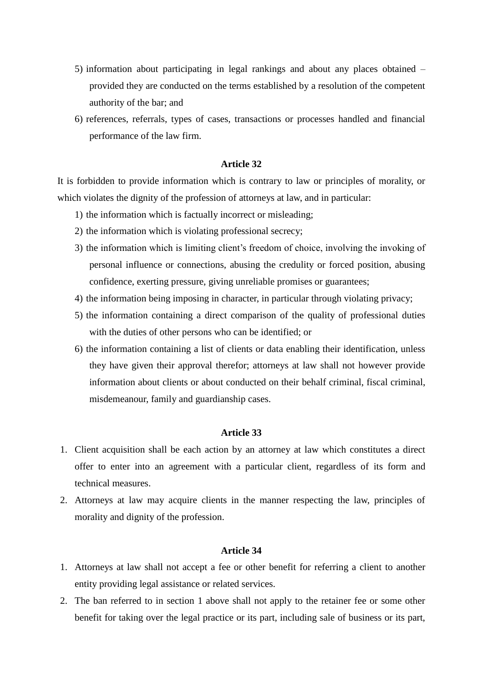- 5) information about participating in legal rankings and about any places obtained provided they are conducted on the terms established by a resolution of the competent authority of the bar; and
- 6) references, referrals, types of cases, transactions or processes handled and financial performance of the law firm.

It is forbidden to provide information which is contrary to law or principles of morality, or which violates the dignity of the profession of attorneys at law, and in particular:

- 1) the information which is factually incorrect or misleading;
- 2) the information which is violating professional secrecy;
- 3) the information which is limiting client's freedom of choice, involving the invoking of personal influence or connections, abusing the credulity or forced position, abusing confidence, exerting pressure, giving unreliable promises or guarantees;
- 4) the information being imposing in character, in particular through violating privacy;
- 5) the information containing a direct comparison of the quality of professional duties with the duties of other persons who can be identified; or
- 6) the information containing a list of clients or data enabling their identification, unless they have given their approval therefor; attorneys at law shall not however provide information about clients or about conducted on their behalf criminal, fiscal criminal, misdemeanour, family and guardianship cases.

## **Article 33**

- 1. Client acquisition shall be each action by an attorney at law which constitutes a direct offer to enter into an agreement with a particular client, regardless of its form and technical measures.
- 2. Attorneys at law may acquire clients in the manner respecting the law, principles of morality and dignity of the profession.

- 1. Attorneys at law shall not accept a fee or other benefit for referring a client to another entity providing legal assistance or related services.
- 2. The ban referred to in section 1 above shall not apply to the retainer fee or some other benefit for taking over the legal practice or its part, including sale of business or its part,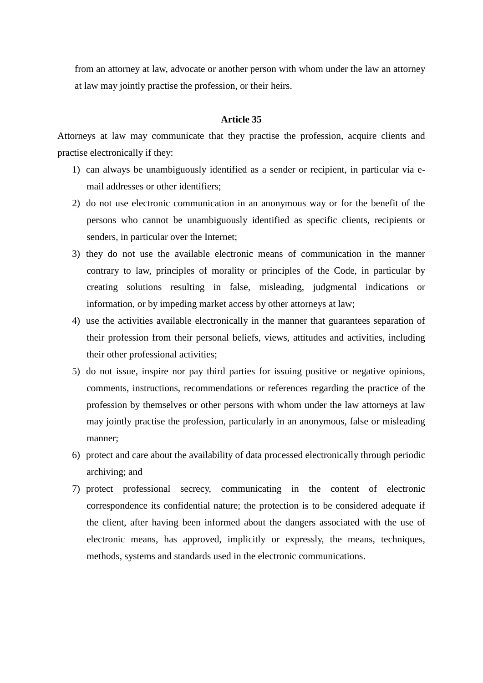from an attorney at law, advocate or another person with whom under the law an attorney at law may jointly practise the profession, or their heirs.

#### **Article 35**

Attorneys at law may communicate that they practise the profession, acquire clients and practise electronically if they:

- 1) can always be unambiguously identified as a sender or recipient, in particular via email addresses or other identifiers;
- 2) do not use electronic communication in an anonymous way or for the benefit of the persons who cannot be unambiguously identified as specific clients, recipients or senders, in particular over the Internet;
- 3) they do not use the available electronic means of communication in the manner contrary to law, principles of morality or principles of the Code, in particular by creating solutions resulting in false, misleading, judgmental indications or information, or by impeding market access by other attorneys at law;
- 4) use the activities available electronically in the manner that guarantees separation of their profession from their personal beliefs, views, attitudes and activities, including their other professional activities;
- 5) do not issue, inspire nor pay third parties for issuing positive or negative opinions, comments, instructions, recommendations or references regarding the practice of the profession by themselves or other persons with whom under the law attorneys at law may jointly practise the profession, particularly in an anonymous, false or misleading manner;
- 6) protect and care about the availability of data processed electronically through periodic archiving; and
- 7) protect professional secrecy, communicating in the content of electronic correspondence its confidential nature; the protection is to be considered adequate if the client, after having been informed about the dangers associated with the use of electronic means, has approved, implicitly or expressly, the means, techniques, methods, systems and standards used in the electronic communications.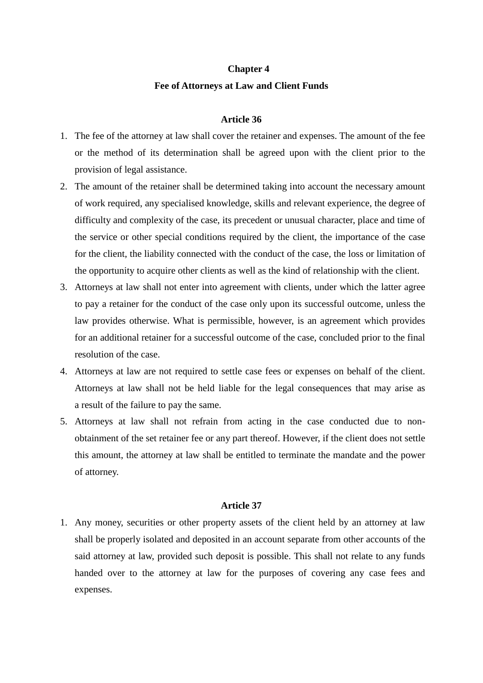## **Chapter 4 Fee of Attorneys at Law and Client Funds**

## **Article 36**

- 1. The fee of the attorney at law shall cover the retainer and expenses. The amount of the fee or the method of its determination shall be agreed upon with the client prior to the provision of legal assistance.
- 2. The amount of the retainer shall be determined taking into account the necessary amount of work required, any specialised knowledge, skills and relevant experience, the degree of difficulty and complexity of the case, its precedent or unusual character, place and time of the service or other special conditions required by the client, the importance of the case for the client, the liability connected with the conduct of the case, the loss or limitation of the opportunity to acquire other clients as well as the kind of relationship with the client.
- 3. Attorneys at law shall not enter into agreement with clients, under which the latter agree to pay a retainer for the conduct of the case only upon its successful outcome, unless the law provides otherwise. What is permissible, however, is an agreement which provides for an additional retainer for a successful outcome of the case, concluded prior to the final resolution of the case.
- 4. Attorneys at law are not required to settle case fees or expenses on behalf of the client. Attorneys at law shall not be held liable for the legal consequences that may arise as a result of the failure to pay the same.
- 5. Attorneys at law shall not refrain from acting in the case conducted due to nonobtainment of the set retainer fee or any part thereof. However, if the client does not settle this amount, the attorney at law shall be entitled to terminate the mandate and the power of attorney.

#### **Article 37**

1. Any money, securities or other property assets of the client held by an attorney at law shall be properly isolated and deposited in an account separate from other accounts of the said attorney at law, provided such deposit is possible. This shall not relate to any funds handed over to the attorney at law for the purposes of covering any case fees and expenses.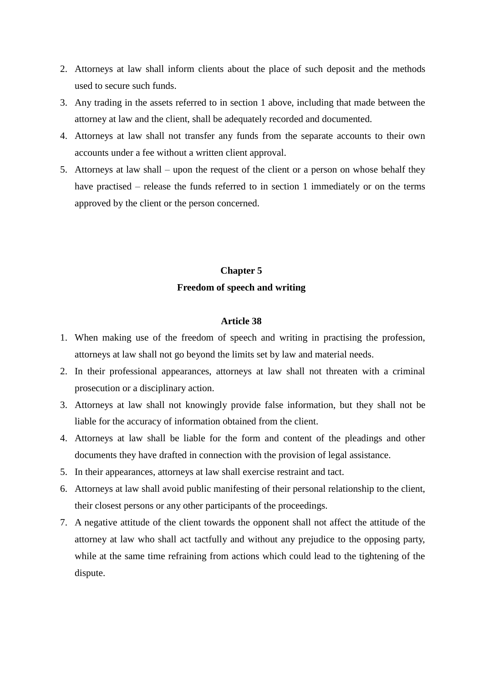- 2. Attorneys at law shall inform clients about the place of such deposit and the methods used to secure such funds.
- 3. Any trading in the assets referred to in section 1 above, including that made between the attorney at law and the client, shall be adequately recorded and documented.
- 4. Attorneys at law shall not transfer any funds from the separate accounts to their own accounts under a fee without a written client approval.
- 5. Attorneys at law shall upon the request of the client or a person on whose behalf they have practised – release the funds referred to in section 1 immediately or on the terms approved by the client or the person concerned.

## **Chapter 5 Freedom of speech and writing**

- 1. When making use of the freedom of speech and writing in practising the profession, attorneys at law shall not go beyond the limits set by law and material needs.
- 2. In their professional appearances, attorneys at law shall not threaten with a criminal prosecution or a disciplinary action.
- 3. Attorneys at law shall not knowingly provide false information, but they shall not be liable for the accuracy of information obtained from the client.
- 4. Attorneys at law shall be liable for the form and content of the pleadings and other documents they have drafted in connection with the provision of legal assistance.
- 5. In their appearances, attorneys at law shall exercise restraint and tact.
- 6. Attorneys at law shall avoid public manifesting of their personal relationship to the client, their closest persons or any other participants of the proceedings.
- 7. A negative attitude of the client towards the opponent shall not affect the attitude of the attorney at law who shall act tactfully and without any prejudice to the opposing party, while at the same time refraining from actions which could lead to the tightening of the dispute.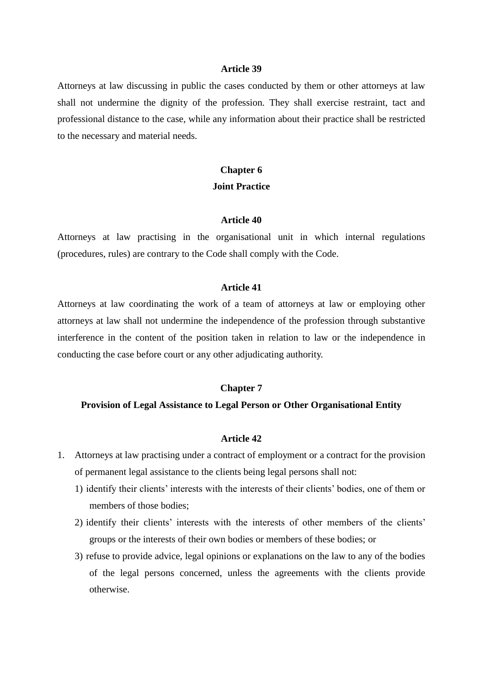Attorneys at law discussing in public the cases conducted by them or other attorneys at law shall not undermine the dignity of the profession. They shall exercise restraint, tact and professional distance to the case, while any information about their practice shall be restricted to the necessary and material needs.

## **Chapter 6 Joint Practice**

## **Article 40**

Attorneys at law practising in the organisational unit in which internal regulations (procedures, rules) are contrary to the Code shall comply with the Code.

#### **Article 41**

Attorneys at law coordinating the work of a team of attorneys at law or employing other attorneys at law shall not undermine the independence of the profession through substantive interference in the content of the position taken in relation to law or the independence in conducting the case before court or any other adjudicating authority.

#### **Chapter 7**

#### **Provision of Legal Assistance to Legal Person or Other Organisational Entity**

- 1. Attorneys at law practising under a contract of employment or a contract for the provision of permanent legal assistance to the clients being legal persons shall not:
	- 1) identify their clients' interests with the interests of their clients' bodies, one of them or members of those bodies;
	- 2) identify their clients' interests with the interests of other members of the clients' groups or the interests of their own bodies or members of these bodies; or
	- 3) refuse to provide advice, legal opinions or explanations on the law to any of the bodies of the legal persons concerned, unless the agreements with the clients provide otherwise.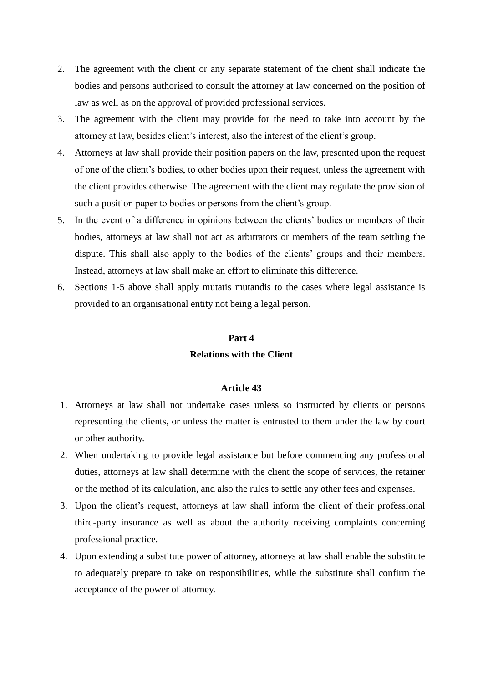- 2. The agreement with the client or any separate statement of the client shall indicate the bodies and persons authorised to consult the attorney at law concerned on the position of law as well as on the approval of provided professional services.
- 3. The agreement with the client may provide for the need to take into account by the attorney at law, besides client's interest, also the interest of the client's group.
- 4. Attorneys at law shall provide their position papers on the law, presented upon the request of one of the client's bodies, to other bodies upon their request, unless the agreement with the client provides otherwise. The agreement with the client may regulate the provision of such a position paper to bodies or persons from the client's group.
- 5. In the event of a difference in opinions between the clients' bodies or members of their bodies, attorneys at law shall not act as arbitrators or members of the team settling the dispute. This shall also apply to the bodies of the clients' groups and their members. Instead, attorneys at law shall make an effort to eliminate this difference.
- 6. Sections 1-5 above shall apply mutatis mutandis to the cases where legal assistance is provided to an organisational entity not being a legal person.

## **Part 4**

## **Relations with the Client**

- 1. Attorneys at law shall not undertake cases unless so instructed by clients or persons representing the clients, or unless the matter is entrusted to them under the law by court or other authority.
- 2. When undertaking to provide legal assistance but before commencing any professional duties, attorneys at law shall determine with the client the scope of services, the retainer or the method of its calculation, and also the rules to settle any other fees and expenses.
- 3. Upon the client's request, attorneys at law shall inform the client of their professional third-party insurance as well as about the authority receiving complaints concerning professional practice.
- 4. Upon extending a substitute power of attorney, attorneys at law shall enable the substitute to adequately prepare to take on responsibilities, while the substitute shall confirm the acceptance of the power of attorney.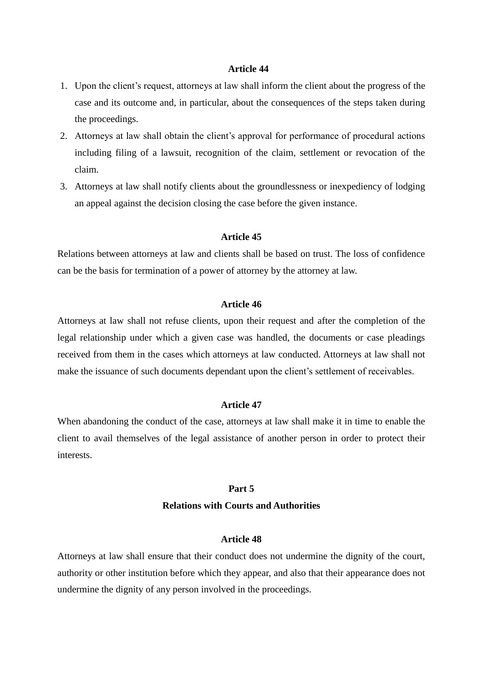- 1. Upon the client's request, attorneys at law shall inform the client about the progress of the case and its outcome and, in particular, about the consequences of the steps taken during the proceedings.
- 2. Attorneys at law shall obtain the client's approval for performance of procedural actions including filing of a lawsuit, recognition of the claim, settlement or revocation of the claim.
- 3. Attorneys at law shall notify clients about the groundlessness or inexpediency of lodging an appeal against the decision closing the case before the given instance.

## **Article 45**

Relations between attorneys at law and clients shall be based on trust. The loss of confidence can be the basis for termination of a power of attorney by the attorney at law.

#### **Article 46**

Attorneys at law shall not refuse clients, upon their request and after the completion of the legal relationship under which a given case was handled, the documents or case pleadings received from them in the cases which attorneys at law conducted. Attorneys at law shall not make the issuance of such documents dependant upon the client's settlement of receivables.

## **Article 47**

When abandoning the conduct of the case, attorneys at law shall make it in time to enable the client to avail themselves of the legal assistance of another person in order to protect their interests.

#### **Part 5**

#### **Relations with Courts and Authorities**

#### **Article 48**

Attorneys at law shall ensure that their conduct does not undermine the dignity of the court, authority or other institution before which they appear, and also that their appearance does not undermine the dignity of any person involved in the proceedings.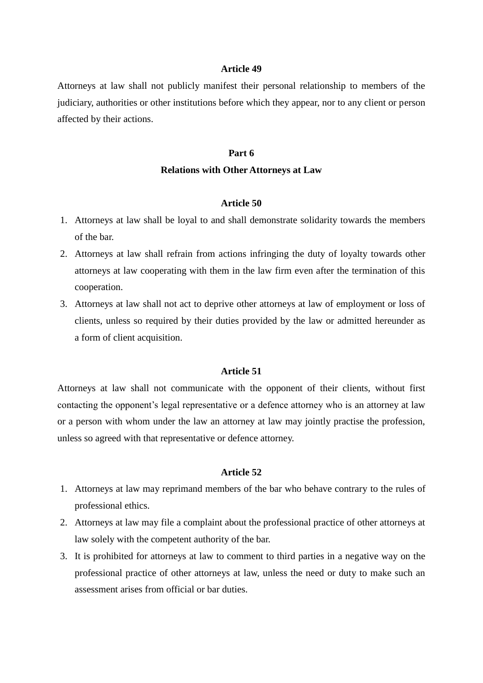Attorneys at law shall not publicly manifest their personal relationship to members of the judiciary, authorities or other institutions before which they appear, nor to any client or person affected by their actions.

## **Part 6**

#### **Relations with Other Attorneys at Law**

## **Article 50**

- 1. Attorneys at law shall be loyal to and shall demonstrate solidarity towards the members of the bar.
- 2. Attorneys at law shall refrain from actions infringing the duty of loyalty towards other attorneys at law cooperating with them in the law firm even after the termination of this cooperation.
- 3. Attorneys at law shall not act to deprive other attorneys at law of employment or loss of clients, unless so required by their duties provided by the law or admitted hereunder as a form of client acquisition.

## **Article 51**

Attorneys at law shall not communicate with the opponent of their clients, without first contacting the opponent's legal representative or a defence attorney who is an attorney at law or a person with whom under the law an attorney at law may jointly practise the profession, unless so agreed with that representative or defence attorney.

- 1. Attorneys at law may reprimand members of the bar who behave contrary to the rules of professional ethics.
- 2. Attorneys at law may file a complaint about the professional practice of other attorneys at law solely with the competent authority of the bar.
- 3. It is prohibited for attorneys at law to comment to third parties in a negative way on the professional practice of other attorneys at law, unless the need or duty to make such an assessment arises from official or bar duties.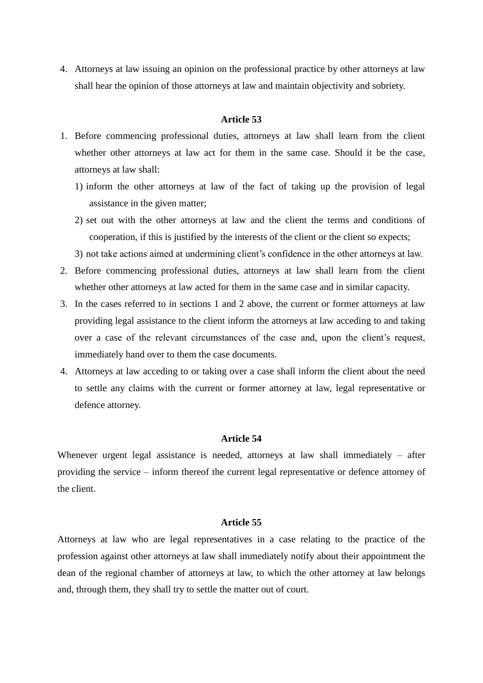4. Attorneys at law issuing an opinion on the professional practice by other attorneys at law shall hear the opinion of those attorneys at law and maintain objectivity and sobriety.

### **Article 53**

- 1. Before commencing professional duties, attorneys at law shall learn from the client whether other attorneys at law act for them in the same case. Should it be the case, attorneys at law shall:
	- 1) inform the other attorneys at law of the fact of taking up the provision of legal assistance in the given matter;
	- 2) set out with the other attorneys at law and the client the terms and conditions of cooperation, if this is justified by the interests of the client or the client so expects;
	- 3) not take actions aimed at undermining client's confidence in the other attorneys at law.
- 2. Before commencing professional duties, attorneys at law shall learn from the client whether other attorneys at law acted for them in the same case and in similar capacity.
- 3. In the cases referred to in sections 1 and 2 above, the current or former attorneys at law providing legal assistance to the client inform the attorneys at law acceding to and taking over a case of the relevant circumstances of the case and, upon the client's request, immediately hand over to them the case documents.
- 4. Attorneys at law acceding to or taking over a case shall inform the client about the need to settle any claims with the current or former attorney at law, legal representative or defence attorney.

#### **Article 54**

Whenever urgent legal assistance is needed, attorneys at law shall immediately – after providing the service – inform thereof the current legal representative or defence attorney of the client.

#### **Article 55**

Attorneys at law who are legal representatives in a case relating to the practice of the profession against other attorneys at law shall immediately notify about their appointment the dean of the regional chamber of attorneys at law, to which the other attorney at law belongs and, through them, they shall try to settle the matter out of court.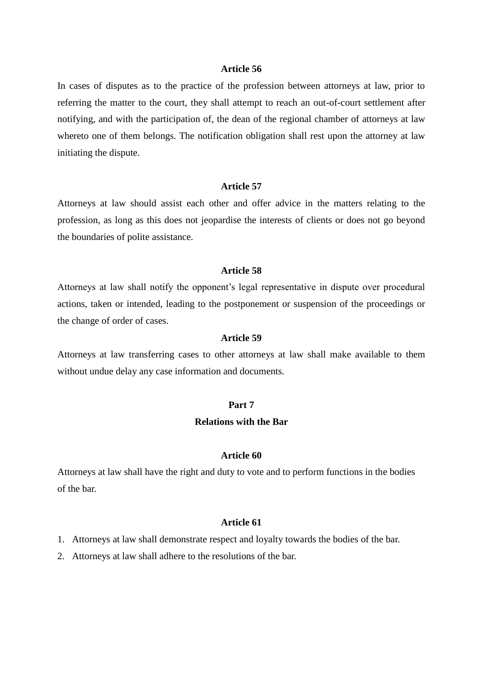In cases of disputes as to the practice of the profession between attorneys at law, prior to referring the matter to the court, they shall attempt to reach an out-of-court settlement after notifying, and with the participation of, the dean of the regional chamber of attorneys at law whereto one of them belongs. The notification obligation shall rest upon the attorney at law initiating the dispute.

#### **Article 57**

Attorneys at law should assist each other and offer advice in the matters relating to the profession, as long as this does not jeopardise the interests of clients or does not go beyond the boundaries of polite assistance.

## **Article 58**

Attorneys at law shall notify the opponent's legal representative in dispute over procedural actions, taken or intended, leading to the postponement or suspension of the proceedings or the change of order of cases.

### **Article 59**

Attorneys at law transferring cases to other attorneys at law shall make available to them without undue delay any case information and documents.

#### **Part 7**

## **Relations with the Bar**

#### **Article 60**

Attorneys at law shall have the right and duty to vote and to perform functions in the bodies of the bar.

- 1. Attorneys at law shall demonstrate respect and loyalty towards the bodies of the bar.
- 2. Attorneys at law shall adhere to the resolutions of the bar.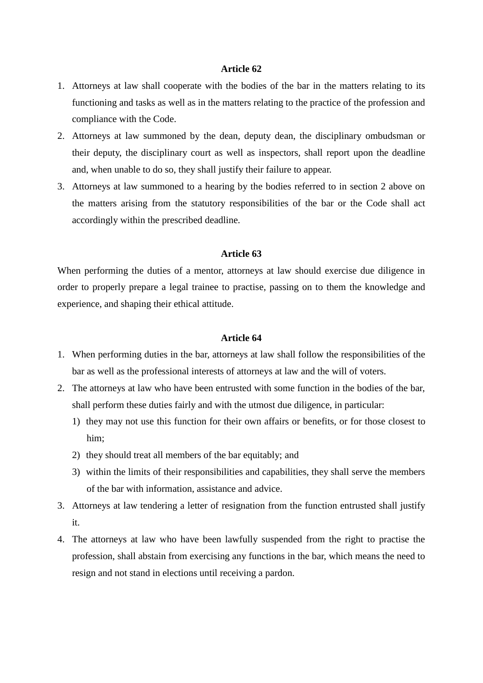- 1. Attorneys at law shall cooperate with the bodies of the bar in the matters relating to its functioning and tasks as well as in the matters relating to the practice of the profession and compliance with the Code.
- 2. Attorneys at law summoned by the dean, deputy dean, the disciplinary ombudsman or their deputy, the disciplinary court as well as inspectors, shall report upon the deadline and, when unable to do so, they shall justify their failure to appear.
- 3. Attorneys at law summoned to a hearing by the bodies referred to in section 2 above on the matters arising from the statutory responsibilities of the bar or the Code shall act accordingly within the prescribed deadline.

## **Article 63**

When performing the duties of a mentor, attorneys at law should exercise due diligence in order to properly prepare a legal trainee to practise, passing on to them the knowledge and experience, and shaping their ethical attitude.

- 1. When performing duties in the bar, attorneys at law shall follow the responsibilities of the bar as well as the professional interests of attorneys at law and the will of voters.
- 2. The attorneys at law who have been entrusted with some function in the bodies of the bar, shall perform these duties fairly and with the utmost due diligence, in particular:
	- 1) they may not use this function for their own affairs or benefits, or for those closest to him;
	- 2) they should treat all members of the bar equitably; and
	- 3) within the limits of their responsibilities and capabilities, they shall serve the members of the bar with information, assistance and advice.
- 3. Attorneys at law tendering a letter of resignation from the function entrusted shall justify it.
- 4. The attorneys at law who have been lawfully suspended from the right to practise the profession, shall abstain from exercising any functions in the bar, which means the need to resign and not stand in elections until receiving a pardon.